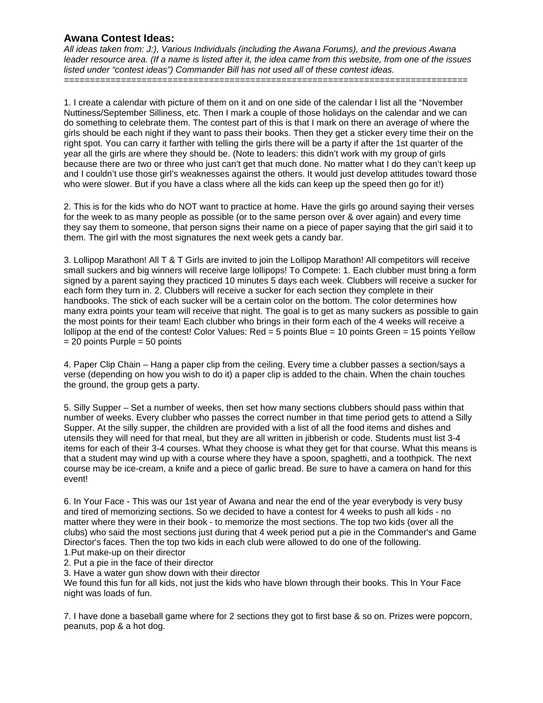*All ideas taken from: J:), Various Individuals (including the Awana Forums), and the previous Awana leader resource area. (If a name is listed after it, the idea came from this website, from one of the issues listed under "contest ideas") Commander Bill has not used all of these contest ideas.* 

*==============================================================================* 

1. I create a calendar with picture of them on it and on one side of the calendar I list all the "November Nuttiness/September Silliness, etc. Then I mark a couple of those holidays on the calendar and we can do something to celebrate them. The contest part of this is that I mark on there an average of where the girls should be each night if they want to pass their books. Then they get a sticker every time their on the right spot. You can carry it farther with telling the girls there will be a party if after the 1st quarter of the year all the girls are where they should be. (Note to leaders: this didn't work with my group of girls because there are two or three who just can't get that much done. No matter what I do they can't keep up and I couldn't use those girl's weaknesses against the others. It would just develop attitudes toward those who were slower. But if you have a class where all the kids can keep up the speed then go for it!)

2. This is for the kids who do NOT want to practice at home. Have the girls go around saying their verses for the week to as many people as possible (or to the same person over & over again) and every time they say them to someone, that person signs their name on a piece of paper saying that the girl said it to them. The girl with the most signatures the next week gets a candy bar.

3. Lollipop Marathon! All T & T Girls are invited to join the Lollipop Marathon! All competitors will receive small suckers and big winners will receive large lollipops! To Compete: 1. Each clubber must bring a form signed by a parent saying they practiced 10 minutes 5 days each week. Clubbers will receive a sucker for each form they turn in. 2. Clubbers will receive a sucker for each section they complete in their handbooks. The stick of each sucker will be a certain color on the bottom. The color determines how many extra points your team will receive that night. The goal is to get as many suckers as possible to gain the most points for their team! Each clubber who brings in their form each of the 4 weeks will receive a lollipop at the end of the contest! Color Values: Red = 5 points Blue = 10 points Green = 15 points Yellow  $= 20$  points Purple  $= 50$  points

4. Paper Clip Chain – Hang a paper clip from the ceiling. Every time a clubber passes a section/says a verse (depending on how you wish to do it) a paper clip is added to the chain. When the chain touches the ground, the group gets a party.

5. Silly Supper – Set a number of weeks, then set how many sections clubbers should pass within that number of weeks. Every clubber who passes the correct number in that time period gets to attend a Silly Supper. At the silly supper, the children are provided with a list of all the food items and dishes and utensils they will need for that meal, but they are all written in jibberish or code. Students must list 3-4 items for each of their 3-4 courses. What they choose is what they get for that course. What this means is that a student may wind up with a course where they have a spoon, spaghetti, and a toothpick. The next course may be ice-cream, a knife and a piece of garlic bread. Be sure to have a camera on hand for this event!

6. In Your Face - This was our 1st year of Awana and near the end of the year everybody is very busy and tired of memorizing sections. So we decided to have a contest for 4 weeks to push all kids - no matter where they were in their book - to memorize the most sections. The top two kids (over all the clubs) who said the most sections just during that 4 week period put a pie in the Commander's and Game Director's faces. Then the top two kids in each club were allowed to do one of the following.

1.Put make-up on their director

2. Put a pie in the face of their director

3. Have a water gun show down with their director

We found this fun for all kids, not just the kids who have blown through their books. This In Your Face night was loads of fun.

7. I have done a baseball game where for 2 sections they got to first base & so on. Prizes were popcorn, peanuts, pop & a hot dog.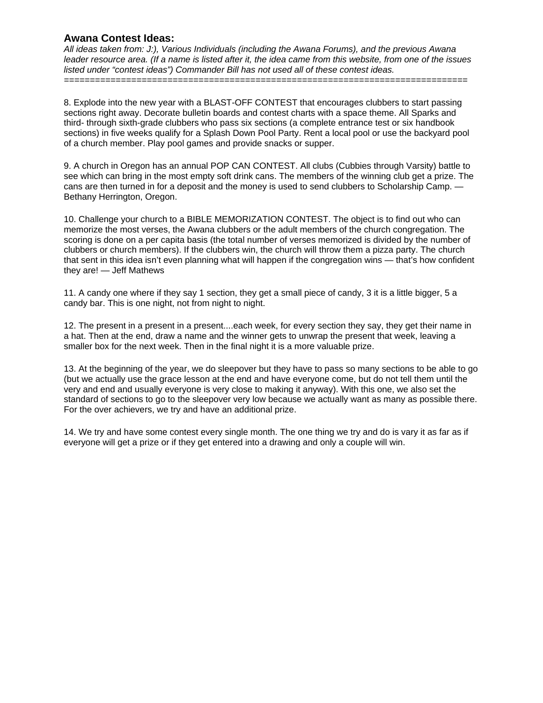*All ideas taken from: J:), Various Individuals (including the Awana Forums), and the previous Awana leader resource area. (If a name is listed after it, the idea came from this website, from one of the issues listed under "contest ideas") Commander Bill has not used all of these contest ideas.* 

*==============================================================================* 

8. Explode into the new year with a BLAST-OFF CONTEST that encourages clubbers to start passing sections right away. Decorate bulletin boards and contest charts with a space theme. All Sparks and third- through sixth-grade clubbers who pass six sections (a complete entrance test or six handbook sections) in five weeks qualify for a Splash Down Pool Party. Rent a local pool or use the backyard pool of a church member. Play pool games and provide snacks or supper.

9. A church in Oregon has an annual POP CAN CONTEST. All clubs (Cubbies through Varsity) battle to see which can bring in the most empty soft drink cans. The members of the winning club get a prize. The cans are then turned in for a deposit and the money is used to send clubbers to Scholarship Camp. — Bethany Herrington, Oregon.

10. Challenge your church to a BIBLE MEMORIZATION CONTEST. The object is to find out who can memorize the most verses, the Awana clubbers or the adult members of the church congregation. The scoring is done on a per capita basis (the total number of verses memorized is divided by the number of clubbers or church members). If the clubbers win, the church will throw them a pizza party. The church that sent in this idea isn't even planning what will happen if the congregation wins — that's how confident they are! — Jeff Mathews

11. A candy one where if they say 1 section, they get a small piece of candy, 3 it is a little bigger, 5 a candy bar. This is one night, not from night to night.

12. The present in a present in a present....each week, for every section they say, they get their name in a hat. Then at the end, draw a name and the winner gets to unwrap the present that week, leaving a smaller box for the next week. Then in the final night it is a more valuable prize.

13. At the beginning of the year, we do sleepover but they have to pass so many sections to be able to go (but we actually use the grace lesson at the end and have everyone come, but do not tell them until the very and end and usually everyone is very close to making it anyway). With this one, we also set the standard of sections to go to the sleepover very low because we actually want as many as possible there. For the over achievers, we try and have an additional prize.

14. We try and have some contest every single month. The one thing we try and do is vary it as far as if everyone will get a prize or if they get entered into a drawing and only a couple will win.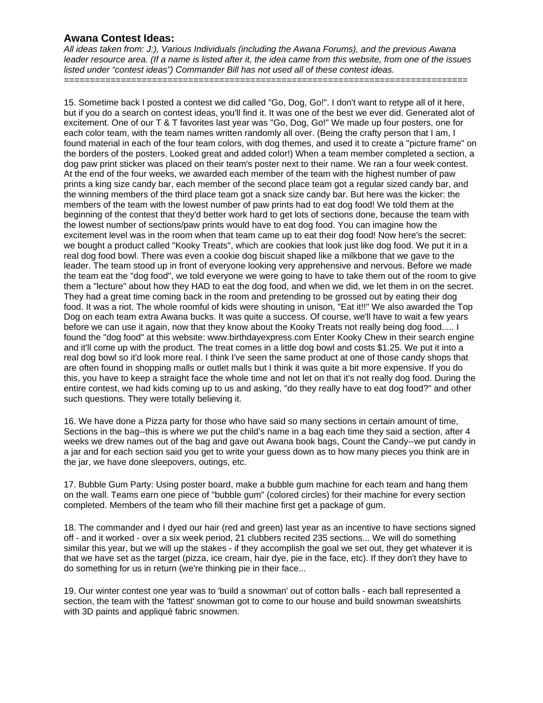*All ideas taken from: J:), Various Individuals (including the Awana Forums), and the previous Awana leader resource area. (If a name is listed after it, the idea came from this website, from one of the issues listed under "contest ideas") Commander Bill has not used all of these contest ideas.* 

*==============================================================================* 

15. Sometime back I posted a contest we did called "Go, Dog, Go!". I don't want to retype all of it here, but if you do a search on contest ideas, you'll find it. It was one of the best we ever did. Generated alot of excitement. One of our T & T favorites last year was "Go, Dog, Go!" We made up four posters, one for each color team, with the team names written randomly all over. (Being the crafty person that I am, I found material in each of the four team colors, with dog themes, and used it to create a "picture frame" on the borders of the posters. Looked great and added color!) When a team member completed a section, a dog paw print sticker was placed on their team's poster next to their name. We ran a four week contest. At the end of the four weeks, we awarded each member of the team with the highest number of paw prints a king size candy bar, each member of the second place team got a regular sized candy bar, and the winning members of the third place team got a snack size candy bar. But here was the kicker: the members of the team with the lowest number of paw prints had to eat dog food! We told them at the beginning of the contest that they'd better work hard to get lots of sections done, because the team with the lowest number of sections/paw prints would have to eat dog food. You can imagine how the excitement level was in the room when that team came up to eat their dog food! Now here's the secret: we bought a product called "Kooky Treats", which are cookies that look just like dog food. We put it in a real dog food bowl. There was even a cookie dog biscuit shaped like a milkbone that we gave to the leader. The team stood up in front of everyone looking very apprehensive and nervous. Before we made the team eat the "dog food", we told everyone we were going to have to take them out of the room to give them a "lecture" about how they HAD to eat the dog food, and when we did, we let them in on the secret. They had a great time coming back in the room and pretending to be grossed out by eating their dog food. It was a riot. The whole roomful of kids were shouting in unison, "Eat it!!" We also awarded the Top Dog on each team extra Awana bucks. It was quite a success. Of course, we'll have to wait a few years before we can use it again, now that they know about the Kooky Treats not really being dog food..... I found the "dog food" at this website: www.birthdayexpress.com Enter Kooky Chew in their search engine and it'll come up with the product. The treat comes in a little dog bowl and costs \$1.25. We put it into a real dog bowl so it'd look more real. I think I've seen the same product at one of those candy shops that are often found in shopping malls or outlet malls but I think it was quite a bit more expensive. If you do this, you have to keep a straight face the whole time and not let on that it's not really dog food. During the entire contest, we had kids coming up to us and asking, "do they really have to eat dog food?" and other such questions. They were totally believing it.

16. We have done a Pizza party for those who have said so many sections in certain amount of time, Sections in the bag--this is where we put the child's name in a bag each time they said a section, after 4 weeks we drew names out of the bag and gave out Awana book bags, Count the Candy--we put candy in a jar and for each section said you get to write your guess down as to how many pieces you think are in the jar, we have done sleepovers, outings, etc.

17. Bubble Gum Party: Using poster board, make a bubble gum machine for each team and hang them on the wall. Teams earn one piece of "bubble gum" (colored circles) for their machine for every section completed. Members of the team who fill their machine first get a package of gum.

18. The commander and I dyed our hair (red and green) last year as an incentive to have sections signed off - and it worked - over a six week period, 21 clubbers recited 235 sections... We will do something similar this year, but we will up the stakes - if they accomplish the goal we set out, they get whatever it is that we have set as the target (pizza, ice cream, hair dye, pie in the face, etc). If they don't they have to do something for us in return (we're thinking pie in their face...

19. Our winter contest one year was to 'build a snowman' out of cotton balls - each ball represented a section, the team with the 'fattest' snowman got to come to our house and build snowman sweatshirts with 3D paints and appliqué fabric snowmen.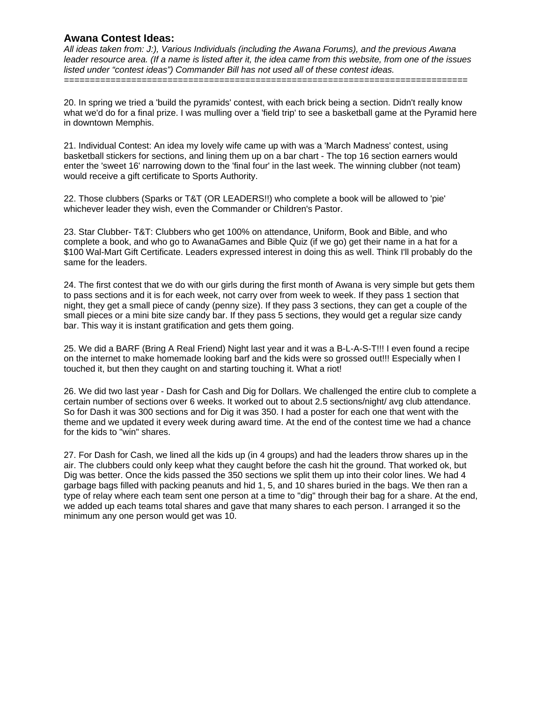*All ideas taken from: J:), Various Individuals (including the Awana Forums), and the previous Awana leader resource area. (If a name is listed after it, the idea came from this website, from one of the issues listed under "contest ideas") Commander Bill has not used all of these contest ideas.* 

*==============================================================================* 

20. In spring we tried a 'build the pyramids' contest, with each brick being a section. Didn't really know what we'd do for a final prize. I was mulling over a 'field trip' to see a basketball game at the Pyramid here in downtown Memphis.

21. Individual Contest: An idea my lovely wife came up with was a 'March Madness' contest, using basketball stickers for sections, and lining them up on a bar chart - The top 16 section earners would enter the 'sweet 16' narrowing down to the 'final four' in the last week. The winning clubber (not team) would receive a gift certificate to Sports Authority.

22. Those clubbers (Sparks or T&T (OR LEADERS!!) who complete a book will be allowed to 'pie' whichever leader they wish, even the Commander or Children's Pastor.

23. Star Clubber- T&T: Clubbers who get 100% on attendance, Uniform, Book and Bible, and who complete a book, and who go to AwanaGames and Bible Quiz (if we go) get their name in a hat for a \$100 Wal-Mart Gift Certificate. Leaders expressed interest in doing this as well. Think I'll probably do the same for the leaders.

24. The first contest that we do with our girls during the first month of Awana is very simple but gets them to pass sections and it is for each week, not carry over from week to week. If they pass 1 section that night, they get a small piece of candy (penny size). If they pass 3 sections, they can get a couple of the small pieces or a mini bite size candy bar. If they pass 5 sections, they would get a regular size candy bar. This way it is instant gratification and gets them going.

25. We did a BARF (Bring A Real Friend) Night last year and it was a B-L-A-S-T!!! I even found a recipe on the internet to make homemade looking barf and the kids were so grossed out!!! Especially when I touched it, but then they caught on and starting touching it. What a riot!

26. We did two last year - Dash for Cash and Dig for Dollars. We challenged the entire club to complete a certain number of sections over 6 weeks. It worked out to about 2.5 sections/night/ avg club attendance. So for Dash it was 300 sections and for Dig it was 350. I had a poster for each one that went with the theme and we updated it every week during award time. At the end of the contest time we had a chance for the kids to "win" shares.

27. For Dash for Cash, we lined all the kids up (in 4 groups) and had the leaders throw shares up in the air. The clubbers could only keep what they caught before the cash hit the ground. That worked ok, but Dig was better. Once the kids passed the 350 sections we split them up into their color lines. We had 4 garbage bags filled with packing peanuts and hid 1, 5, and 10 shares buried in the bags. We then ran a type of relay where each team sent one person at a time to "dig" through their bag for a share. At the end, we added up each teams total shares and gave that many shares to each person. I arranged it so the minimum any one person would get was 10.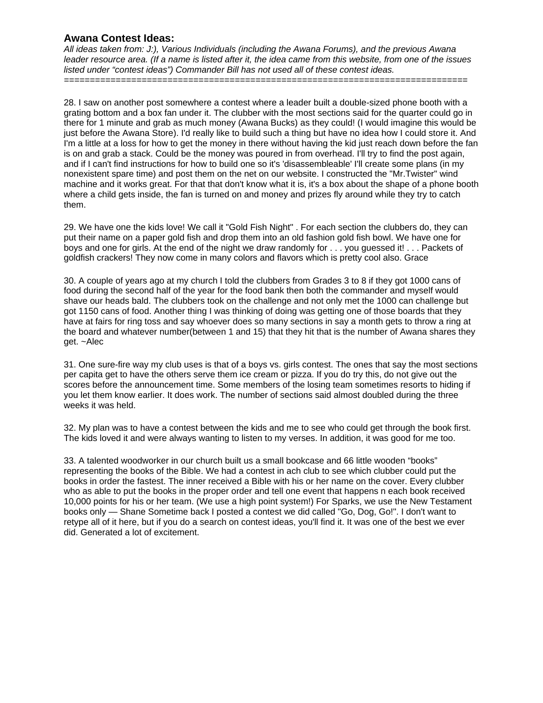*All ideas taken from: J:), Various Individuals (including the Awana Forums), and the previous Awana leader resource area. (If a name is listed after it, the idea came from this website, from one of the issues listed under "contest ideas") Commander Bill has not used all of these contest ideas.* 

*==============================================================================* 

28. I saw on another post somewhere a contest where a leader built a double-sized phone booth with a grating bottom and a box fan under it. The clubber with the most sections said for the quarter could go in there for 1 minute and grab as much money (Awana Bucks) as they could! (I would imagine this would be just before the Awana Store). I'd really like to build such a thing but have no idea how I could store it. And I'm a little at a loss for how to get the money in there without having the kid just reach down before the fan is on and grab a stack. Could be the money was poured in from overhead. I'll try to find the post again, and if I can't find instructions for how to build one so it's 'disassembleable' I'll create some plans (in my nonexistent spare time) and post them on the net on our website. I constructed the "Mr.Twister" wind machine and it works great. For that that don't know what it is, it's a box about the shape of a phone booth where a child gets inside, the fan is turned on and money and prizes fly around while they try to catch them.

29. We have one the kids love! We call it "Gold Fish Night" . For each section the clubbers do, they can put their name on a paper gold fish and drop them into an old fashion gold fish bowl. We have one for boys and one for girls. At the end of the night we draw randomly for . . . you guessed it! . . . Packets of goldfish crackers! They now come in many colors and flavors which is pretty cool also. Grace

30. A couple of years ago at my church I told the clubbers from Grades 3 to 8 if they got 1000 cans of food during the second half of the year for the food bank then both the commander and myself would shave our heads bald. The clubbers took on the challenge and not only met the 1000 can challenge but got 1150 cans of food. Another thing I was thinking of doing was getting one of those boards that they have at fairs for ring toss and say whoever does so many sections in say a month gets to throw a ring at the board and whatever number(between 1 and 15) that they hit that is the number of Awana shares they get. ~Alec

31. One sure-fire way my club uses is that of a boys vs. girls contest. The ones that say the most sections per capita get to have the others serve them ice cream or pizza. If you do try this, do not give out the scores before the announcement time. Some members of the losing team sometimes resorts to hiding if you let them know earlier. It does work. The number of sections said almost doubled during the three weeks it was held.

32. My plan was to have a contest between the kids and me to see who could get through the book first. The kids loved it and were always wanting to listen to my verses. In addition, it was good for me too.

33. A talented woodworker in our church built us a small bookcase and 66 little wooden "books" representing the books of the Bible. We had a contest in ach club to see which clubber could put the books in order the fastest. The inner received a Bible with his or her name on the cover. Every clubber who as able to put the books in the proper order and tell one event that happens n each book received 10,000 points for his or her team. (We use a high point system!) For Sparks, we use the New Testament books only — Shane Sometime back I posted a contest we did called "Go, Dog, Go!". I don't want to retype all of it here, but if you do a search on contest ideas, you'll find it. It was one of the best we ever did. Generated a lot of excitement.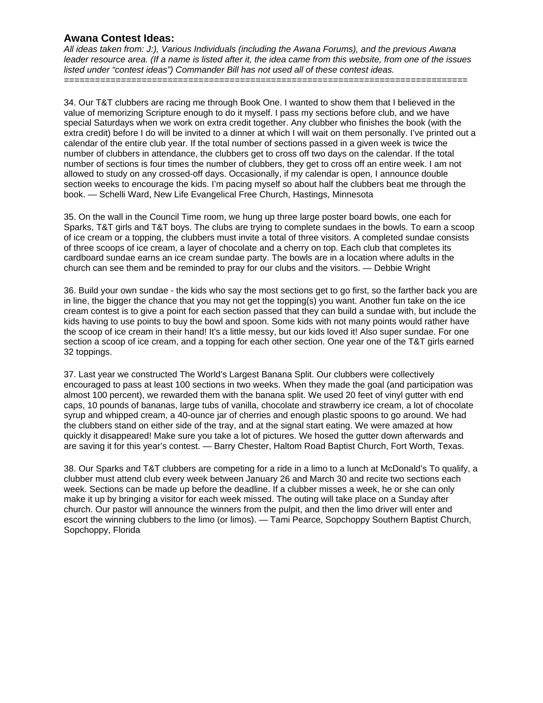*All ideas taken from: J:), Various Individuals (including the Awana Forums), and the previous Awana leader resource area. (If a name is listed after it, the idea came from this website, from one of the issues listed under "contest ideas") Commander Bill has not used all of these contest ideas.* 

*==============================================================================* 

34. Our T&T clubbers are racing me through Book One. I wanted to show them that I believed in the value of memorizing Scripture enough to do it myself. I pass my sections before club, and we have special Saturdays when we work on extra credit together. Any clubber who finishes the book (with the extra credit) before I do will be invited to a dinner at which I will wait on them personally. I've printed out a calendar of the entire club year. If the total number of sections passed in a given week is twice the number of clubbers in attendance, the clubbers get to cross off two days on the calendar. If the total number of sections is four times the number of clubbers, they get to cross off an entire week. I am not allowed to study on any crossed-off days. Occasionally, if my calendar is open, I announce double section weeks to encourage the kids. I'm pacing myself so about half the clubbers beat me through the book. — Schelli Ward, New Life Evangelical Free Church, Hastings, Minnesota

35. On the wall in the Council Time room, we hung up three large poster board bowls, one each for Sparks, T&T girls and T&T boys. The clubs are trying to complete sundaes in the bowls. To earn a scoop of ice cream or a topping, the clubbers must invite a total of three visitors. A completed sundae consists of three scoops of ice cream, a layer of chocolate and a cherry on top. Each club that completes its cardboard sundae earns an ice cream sundae party. The bowls are in a location where adults in the church can see them and be reminded to pray for our clubs and the visitors. — Debbie Wright

36. Build your own sundae - the kids who say the most sections get to go first, so the farther back you are in line, the bigger the chance that you may not get the topping(s) you want. Another fun take on the ice cream contest is to give a point for each section passed that they can build a sundae with, but include the kids having to use points to buy the bowl and spoon. Some kids with not many points would rather have the scoop of ice cream in their hand! It's a little messy, but our kids loved it! Also super sundae. For one section a scoop of ice cream, and a topping for each other section. One year one of the T&T girls earned 32 toppings.

37. Last year we constructed The World's Largest Banana Split. Our clubbers were collectively encouraged to pass at least 100 sections in two weeks. When they made the goal (and participation was almost 100 percent), we rewarded them with the banana split. We used 20 feet of vinyl gutter with end caps, 10 pounds of bananas, large tubs of vanilla, chocolate and strawberry ice cream, a lot of chocolate syrup and whipped cream, a 40-ounce jar of cherries and enough plastic spoons to go around. We had the clubbers stand on either side of the tray, and at the signal start eating. We were amazed at how quickly it disappeared! Make sure you take a lot of pictures. We hosed the gutter down afterwards and are saving it for this year's contest. — Barry Chester, Haltom Road Baptist Church, Fort Worth, Texas.

38. Our Sparks and T&T clubbers are competing for a ride in a limo to a lunch at McDonald's To qualify, a clubber must attend club every week between January 26 and March 30 and recite two sections each week. Sections can be made up before the deadline. If a clubber misses a week, he or she can only make it up by bringing a visitor for each week missed. The outing will take place on a Sunday after church. Our pastor will announce the winners from the pulpit, and then the limo driver will enter and escort the winning clubbers to the limo (or limos). — Tami Pearce, Sopchoppy Southern Baptist Church, Sopchoppy, Florida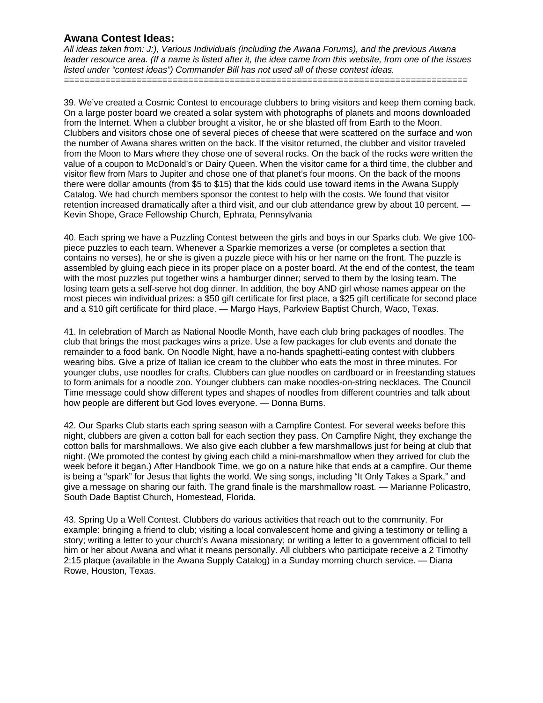*All ideas taken from: J:), Various Individuals (including the Awana Forums), and the previous Awana leader resource area. (If a name is listed after it, the idea came from this website, from one of the issues listed under "contest ideas") Commander Bill has not used all of these contest ideas.* 

*==============================================================================* 

39. We've created a Cosmic Contest to encourage clubbers to bring visitors and keep them coming back. On a large poster board we created a solar system with photographs of planets and moons downloaded from the Internet. When a clubber brought a visitor, he or she blasted off from Earth to the Moon. Clubbers and visitors chose one of several pieces of cheese that were scattered on the surface and won the number of Awana shares written on the back. If the visitor returned, the clubber and visitor traveled from the Moon to Mars where they chose one of several rocks. On the back of the rocks were written the value of a coupon to McDonald's or Dairy Queen. When the visitor came for a third time, the clubber and visitor flew from Mars to Jupiter and chose one of that planet's four moons. On the back of the moons there were dollar amounts (from \$5 to \$15) that the kids could use toward items in the Awana Supply Catalog. We had church members sponsor the contest to help with the costs. We found that visitor retention increased dramatically after a third visit, and our club attendance grew by about 10 percent. -Kevin Shope, Grace Fellowship Church, Ephrata, Pennsylvania

40. Each spring we have a Puzzling Contest between the girls and boys in our Sparks club. We give 100 piece puzzles to each team. Whenever a Sparkie memorizes a verse (or completes a section that contains no verses), he or she is given a puzzle piece with his or her name on the front. The puzzle is assembled by gluing each piece in its proper place on a poster board. At the end of the contest, the team with the most puzzles put together wins a hamburger dinner; served to them by the losing team. The losing team gets a self-serve hot dog dinner. In addition, the boy AND girl whose names appear on the most pieces win individual prizes: a \$50 gift certificate for first place, a \$25 gift certificate for second place and a \$10 gift certificate for third place. — Margo Hays, Parkview Baptist Church, Waco, Texas.

41. In celebration of March as National Noodle Month, have each club bring packages of noodles. The club that brings the most packages wins a prize. Use a few packages for club events and donate the remainder to a food bank. On Noodle Night, have a no-hands spaghetti-eating contest with clubbers wearing bibs. Give a prize of Italian ice cream to the clubber who eats the most in three minutes. For younger clubs, use noodles for crafts. Clubbers can glue noodles on cardboard or in freestanding statues to form animals for a noodle zoo. Younger clubbers can make noodles-on-string necklaces. The Council Time message could show different types and shapes of noodles from different countries and talk about how people are different but God loves everyone. — Donna Burns.

42. Our Sparks Club starts each spring season with a Campfire Contest. For several weeks before this night, clubbers are given a cotton ball for each section they pass. On Campfire Night, they exchange the cotton balls for marshmallows. We also give each clubber a few marshmallows just for being at club that night. (We promoted the contest by giving each child a mini-marshmallow when they arrived for club the week before it began.) After Handbook Time, we go on a nature hike that ends at a campfire. Our theme is being a "spark" for Jesus that lights the world. We sing songs, including "It Only Takes a Spark," and give a message on sharing our faith. The grand finale is the marshmallow roast. — Marianne Policastro, South Dade Baptist Church, Homestead, Florida.

43. Spring Up a Well Contest. Clubbers do various activities that reach out to the community. For example: bringing a friend to club; visiting a local convalescent home and giving a testimony or telling a story; writing a letter to your church's Awana missionary; or writing a letter to a government official to tell him or her about Awana and what it means personally. All clubbers who participate receive a 2 Timothy 2:15 plaque (available in the Awana Supply Catalog) in a Sunday morning church service. — Diana Rowe, Houston, Texas.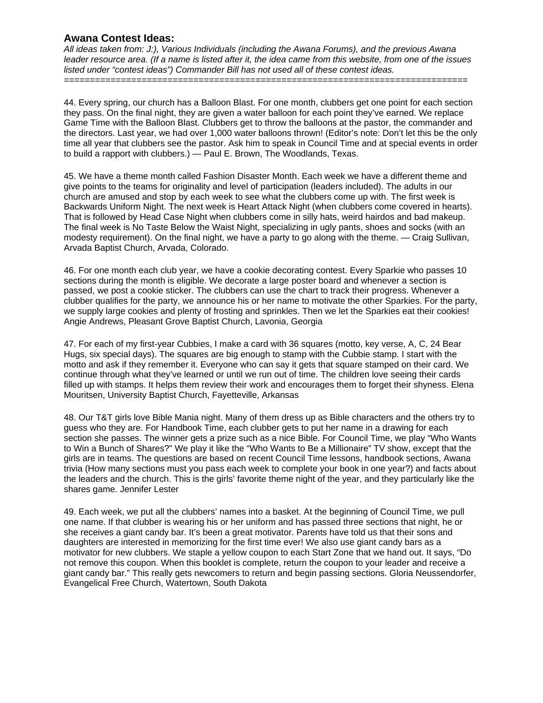*All ideas taken from: J:), Various Individuals (including the Awana Forums), and the previous Awana leader resource area. (If a name is listed after it, the idea came from this website, from one of the issues listed under "contest ideas") Commander Bill has not used all of these contest ideas.* 

*==============================================================================* 

44. Every spring, our church has a Balloon Blast. For one month, clubbers get one point for each section they pass. On the final night, they are given a water balloon for each point they've earned. We replace Game Time with the Balloon Blast. Clubbers get to throw the balloons at the pastor, the commander and the directors. Last year, we had over 1,000 water balloons thrown! (Editor's note: Don't let this be the only time all year that clubbers see the pastor. Ask him to speak in Council Time and at special events in order to build a rapport with clubbers.) — Paul E. Brown, The Woodlands, Texas.

45. We have a theme month called Fashion Disaster Month. Each week we have a different theme and give points to the teams for originality and level of participation (leaders included). The adults in our church are amused and stop by each week to see what the clubbers come up with. The first week is Backwards Uniform Night. The next week is Heart Attack Night (when clubbers come covered in hearts). That is followed by Head Case Night when clubbers come in silly hats, weird hairdos and bad makeup. The final week is No Taste Below the Waist Night, specializing in ugly pants, shoes and socks (with an modesty requirement). On the final night, we have a party to go along with the theme. — Craig Sullivan, Arvada Baptist Church, Arvada, Colorado.

46. For one month each club year, we have a cookie decorating contest. Every Sparkie who passes 10 sections during the month is eligible. We decorate a large poster board and whenever a section is passed, we post a cookie sticker. The clubbers can use the chart to track their progress. Whenever a clubber qualifies for the party, we announce his or her name to motivate the other Sparkies. For the party, we supply large cookies and plenty of frosting and sprinkles. Then we let the Sparkies eat their cookies! Angie Andrews, Pleasant Grove Baptist Church, Lavonia, Georgia

47. For each of my first-year Cubbies, I make a card with 36 squares (motto, key verse, A, C, 24 Bear Hugs, six special days). The squares are big enough to stamp with the Cubbie stamp. I start with the motto and ask if they remember it. Everyone who can say it gets that square stamped on their card. We continue through what they've learned or until we run out of time. The children love seeing their cards filled up with stamps. It helps them review their work and encourages them to forget their shyness. Elena Mouritsen, University Baptist Church, Fayetteville, Arkansas

48. Our T&T girls love Bible Mania night. Many of them dress up as Bible characters and the others try to guess who they are. For Handbook Time, each clubber gets to put her name in a drawing for each section she passes. The winner gets a prize such as a nice Bible. For Council Time, we play "Who Wants to Win a Bunch of Shares?" We play it like the "Who Wants to Be a Millionaire" TV show, except that the girls are in teams. The questions are based on recent Council Time lessons, handbook sections, Awana trivia (How many sections must you pass each week to complete your book in one year?) and facts about the leaders and the church. This is the girls' favorite theme night of the year, and they particularly like the shares game. Jennifer Lester

49. Each week, we put all the clubbers' names into a basket. At the beginning of Council Time, we pull one name. If that clubber is wearing his or her uniform and has passed three sections that night, he or she receives a giant candy bar. It's been a great motivator. Parents have told us that their sons and daughters are interested in memorizing for the first time ever! We also use giant candy bars as a motivator for new clubbers. We staple a yellow coupon to each Start Zone that we hand out. It says, "Do not remove this coupon. When this booklet is complete, return the coupon to your leader and receive a giant candy bar." This really gets newcomers to return and begin passing sections. Gloria Neussendorfer, Evangelical Free Church, Watertown, South Dakota